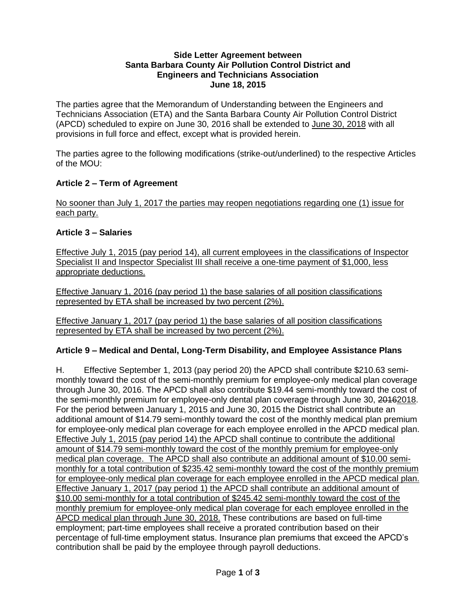#### **Side Letter Agreement between Santa Barbara County Air Pollution Control District and Engineers and Technicians Association June 18, 2015**

The parties agree that the Memorandum of Understanding between the Engineers and Technicians Association (ETA) and the Santa Barbara County Air Pollution Control District (APCD) scheduled to expire on June 30, 2016 shall be extended to June 30, 2018 with all provisions in full force and effect, except what is provided herein.

The parties agree to the following modifications (strike-out/underlined) to the respective Articles of the MOU:

# **Article 2 – Term of Agreement**

No sooner than July 1, 2017 the parties may reopen negotiations regarding one (1) issue for each party.

## **Article 3 – Salaries**

Effective July 1, 2015 (pay period 14), all current employees in the classifications of Inspector Specialist II and Inspector Specialist III shall receive a one-time payment of \$1,000, less appropriate deductions.

Effective January 1, 2016 (pay period 1) the base salaries of all position classifications represented by ETA shall be increased by two percent (2%).

Effective January 1, 2017 (pay period 1) the base salaries of all position classifications represented by ETA shall be increased by two percent (2%).

# **Article 9 – Medical and Dental, Long-Term Disability, and Employee Assistance Plans**

H. Effective September 1, 2013 (pay period 20) the APCD shall contribute \$210.63 semimonthly toward the cost of the semi-monthly premium for employee-only medical plan coverage through June 30, 2016. The APCD shall also contribute \$19.44 semi-monthly toward the cost of the semi-monthly premium for employee-only dental plan coverage through June 30, 20162018. For the period between January 1, 2015 and June 30, 2015 the District shall contribute an additional amount of \$14.79 semi-monthly toward the cost of the monthly medical plan premium for employee-only medical plan coverage for each employee enrolled in the APCD medical plan. Effective July 1, 2015 (pay period 14) the APCD shall continue to contribute the additional amount of \$14.79 semi-monthly toward the cost of the monthly premium for employee-only medical plan coverage. The APCD shall also contribute an additional amount of \$10.00 semimonthly for a total contribution of \$235.42 semi-monthly toward the cost of the monthly premium for employee-only medical plan coverage for each employee enrolled in the APCD medical plan. Effective January 1, 2017 (pay period 1) the APCD shall contribute an additional amount of \$10.00 semi-monthly for a total contribution of \$245.42 semi-monthly toward the cost of the monthly premium for employee-only medical plan coverage for each employee enrolled in the APCD medical plan through June 30, 2018. These contributions are based on full-time employment; part-time employees shall receive a prorated contribution based on their percentage of full-time employment status. Insurance plan premiums that exceed the APCD's contribution shall be paid by the employee through payroll deductions.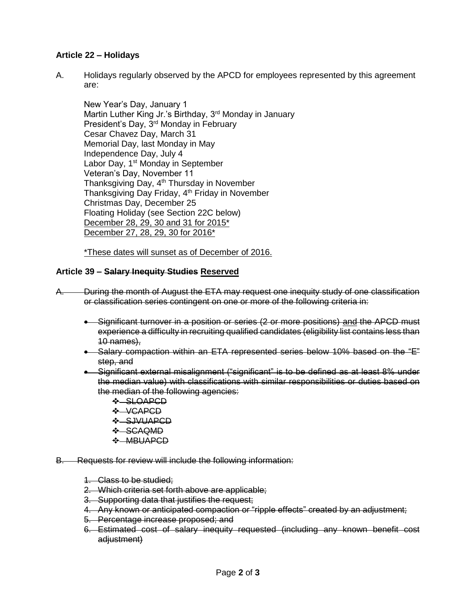## **Article 22 – Holidays**

A. Holidays regularly observed by the APCD for employees represented by this agreement are:

New Year's Day, January 1 Martin Luther King Jr.'s Birthday, 3<sup>rd</sup> Monday in January President's Day, 3<sup>rd</sup> Monday in February Cesar Chavez Day, March 31 Memorial Day, last Monday in May Independence Day, July 4 Labor Day, 1<sup>st</sup> Monday in September Veteran's Day, November 11 Thanksgiving Day, 4<sup>th</sup> Thursday in November Thanksgiving Day Friday, 4th Friday in November Christmas Day, December 25 Floating Holiday (see Section 22C below) December 28, 29, 30 and 31 for 2015\* December 27, 28, 29, 30 for 2016\*

\*These dates will sunset as of December of 2016.

## **Article 39 – Salary Inequity Studies Reserved**

- A. During the month of August the ETA may request one inequity study of one classification or classification series contingent on one or more of the following criteria in:
	- Significant turnover in a position or series (2 or more positions) and the APCD must experience a difficulty in recruiting qualified candidates (eligibility list contains less than 10 names),
	- Salary compaction within an ETA represented series below 10% based on the "E" step, and
	- Significant external misalignment ("significant" is to be defined as at least 8% under the median value) with classifications with similar responsibilities or duties based on the median of the following agencies:
		- SLOAPCD
		- $\div$  VCAPCD
		- **SJVUAPCD**
		- $\div$ -SCAQMD
		- **❖ MBUAPCD**
- B. Requests for review will include the following information:
	- 1. Class to be studied;
	- 2. Which criteria set forth above are applicable;
	- 3. Supporting data that justifies the request;
	- 4. Any known or anticipated compaction or "ripple effects" created by an adjustment;
	- 5. Percentage increase proposed; and
	- 6. Estimated cost of salary inequity requested (including any known benefit cost adjustment)